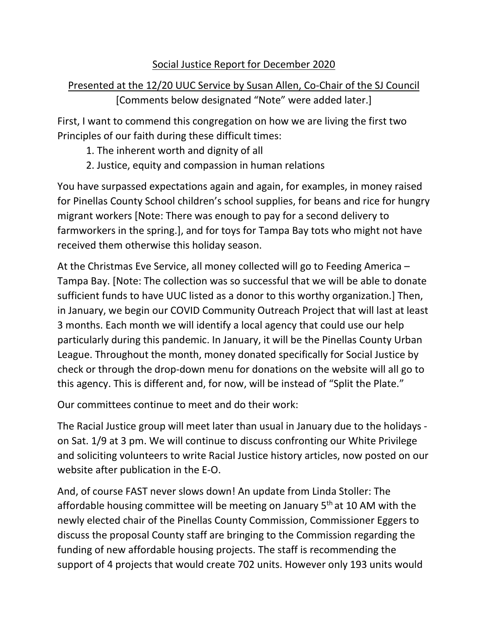## Social Justice Report for December 2020

## Presented at the 12/20 UUC Service by Susan Allen, Co-Chair of the SJ Council [Comments below designated "Note" were added later.]

First, I want to commend this congregation on how we are living the first two Principles of our faith during these difficult times:

- 1. The inherent worth and dignity of all
- 2. Justice, equity and compassion in human relations

You have surpassed expectations again and again, for examples, in money raised for Pinellas County School children's school supplies, for beans and rice for hungry migrant workers [Note: There was enough to pay for a second delivery to farmworkers in the spring.], and for toys for Tampa Bay tots who might not have received them otherwise this holiday season.

At the Christmas Eve Service, all money collected will go to Feeding America – Tampa Bay. [Note: The collection was so successful that we will be able to donate sufficient funds to have UUC listed as a donor to this worthy organization.] Then, in January, we begin our COVID Community Outreach Project that will last at least 3 months. Each month we will identify a local agency that could use our help particularly during this pandemic. In January, it will be the Pinellas County Urban League. Throughout the month, money donated specifically for Social Justice by check or through the drop-down menu for donations on the website will all go to this agency. This is different and, for now, will be instead of "Split the Plate."

Our committees continue to meet and do their work:

The Racial Justice group will meet later than usual in January due to the holidays on Sat. 1/9 at 3 pm. We will continue to discuss confronting our White Privilege and soliciting volunteers to write Racial Justice history articles, now posted on our website after publication in the E-O.

And, of course FAST never slows down! An update from Linda Stoller: The affordable housing committee will be meeting on January 5<sup>th</sup> at 10 AM with the newly elected chair of the Pinellas County Commission, Commissioner Eggers to discuss the proposal County staff are bringing to the Commission regarding the funding of new affordable housing projects. The staff is recommending the support of 4 projects that would create 702 units. However only 193 units would